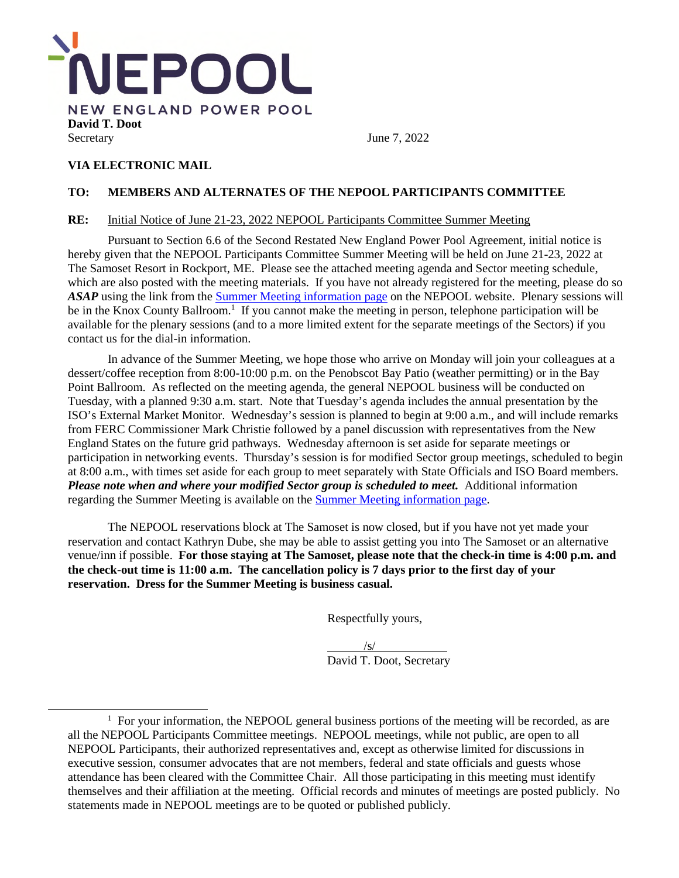

## **VIA ELECTRONIC MAIL**

## **TO: MEMBERS AND ALTERNATES OF THE NEPOOL PARTICIPANTS COMMITTEE**

## **RE:** Initial Notice of June 21-23, 2022 NEPOOL Participants Committee Summer Meeting

Pursuant to Section 6.6 of the Second Restated New England Power Pool Agreement, initial notice is hereby given that the NEPOOL Participants Committee Summer Meeting will be held on June 21-23, 2022 at The Samoset Resort in Rockport, ME. Please see the attached meeting agenda and Sector meeting schedule, which are also posted with the meeting materials. If you have not already registered for the meeting, please do so *ASAP* using the link from the Summer Meeting information page on the NEPOOL website. Plenary sessions will be in the Knox County Ballroom.<sup>1</sup> If you cannot make the meeting in person, telephone participation will be available for the plenary sessions (and to a more limited extent for the separate meetings of the Sectors) if you contact us for the dial-in information.

In advance of the Summer Meeting, we hope those who arrive on Monday will join your colleagues at a dessert/coffee reception from 8:00-10:00 p.m. on the Penobscot Bay Patio (weather permitting) or in the Bay Point Ballroom. As reflected on the meeting agenda, the general NEPOOL business will be conducted on Tuesday, with a planned 9:30 a.m. start. Note that Tuesday's agenda includes the annual presentation by the ISO's External Market Monitor. Wednesday's session is planned to begin at 9:00 a.m., and will include remarks from FERC Commissioner Mark Christie followed by a panel discussion with representatives from the New England States on the future grid pathways. Wednesday afternoon is set aside for separate meetings or participation in networking events. Thursday's session is for modified Sector group meetings, scheduled to begin at 8:00 a.m., with times set aside for each group to meet separately with State Officials and ISO Board members. *Please note when and where your modified Sector group is scheduled to meet.* Additional information regarding the Summer Meeting is available on the Summer Meeting information page.

The NEPOOL reservations block at The Samoset is now closed, but if you have not yet made your reservation and contact Kathryn Dube, she may be able to assist getting you into The Samoset or an alternative venue/inn if possible. **For those staying at The Samoset, please note that the check-in time is 4:00 p.m. and the check-out time is 11:00 a.m. The cancellation policy is 7 days prior to the first day of your reservation. Dress for the Summer Meeting is business casual.** 

Respectfully yours,

 $/s/$ David T. Doot, Secretary

<sup>&</sup>lt;sup>1</sup> For your information, the NEPOOL general business portions of the meeting will be recorded, as are all the NEPOOL Participants Committee meetings. NEPOOL meetings, while not public, are open to all NEPOOL Participants, their authorized representatives and, except as otherwise limited for discussions in executive session, consumer advocates that are not members, federal and state officials and guests whose attendance has been cleared with the Committee Chair. All those participating in this meeting must identify themselves and their affiliation at the meeting. Official records and minutes of meetings are posted publicly. No statements made in NEPOOL meetings are to be quoted or published publicly.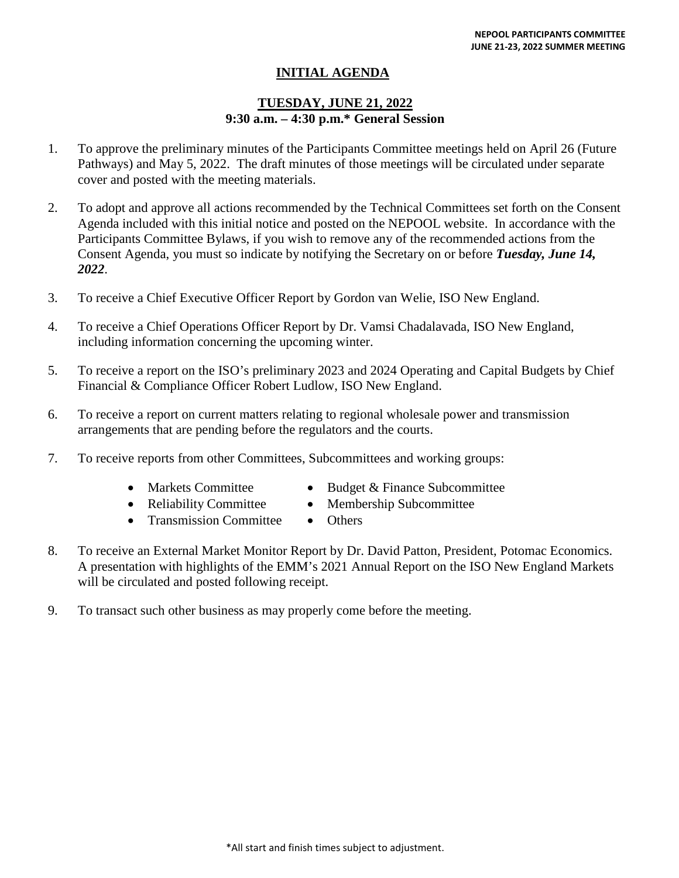# **INITIAL AGENDA**

## **TUESDAY, JUNE 21, 2022 9:30 a.m. – 4:30 p.m.\* General Session**

- 1. To approve the preliminary minutes of the Participants Committee meetings held on April 26 (Future Pathways) and May 5, 2022. The draft minutes of those meetings will be circulated under separate cover and posted with the meeting materials.
- 2. To adopt and approve all actions recommended by the Technical Committees set forth on the Consent Agenda included with this initial notice and posted on the NEPOOL website. In accordance with the Participants Committee Bylaws, if you wish to remove any of the recommended actions from the Consent Agenda, you must so indicate by notifying the Secretary on or before *Tuesday, June 14, 2022*.
- 3. To receive a Chief Executive Officer Report by Gordon van Welie, ISO New England.
- 4. To receive a Chief Operations Officer Report by Dr. Vamsi Chadalavada, ISO New England, including information concerning the upcoming winter.
- 5. To receive a report on the ISO's preliminary 2023 and 2024 Operating and Capital Budgets by Chief Financial & Compliance Officer Robert Ludlow, ISO New England.
- 6. To receive a report on current matters relating to regional wholesale power and transmission arrangements that are pending before the regulators and the courts.
- 7. To receive reports from other Committees, Subcommittees and working groups:
	-
	- Markets Committee Budget & Finance Subcommittee
	- Reliability Committee Membership Subcommittee
		-
	- Transmission Committee Others
- 8. To receive an External Market Monitor Report by Dr. David Patton, President, Potomac Economics. A presentation with highlights of the EMM's 2021 Annual Report on the ISO New England Markets will be circulated and posted following receipt.
	- 9. To transact such other business as may properly come before the meeting.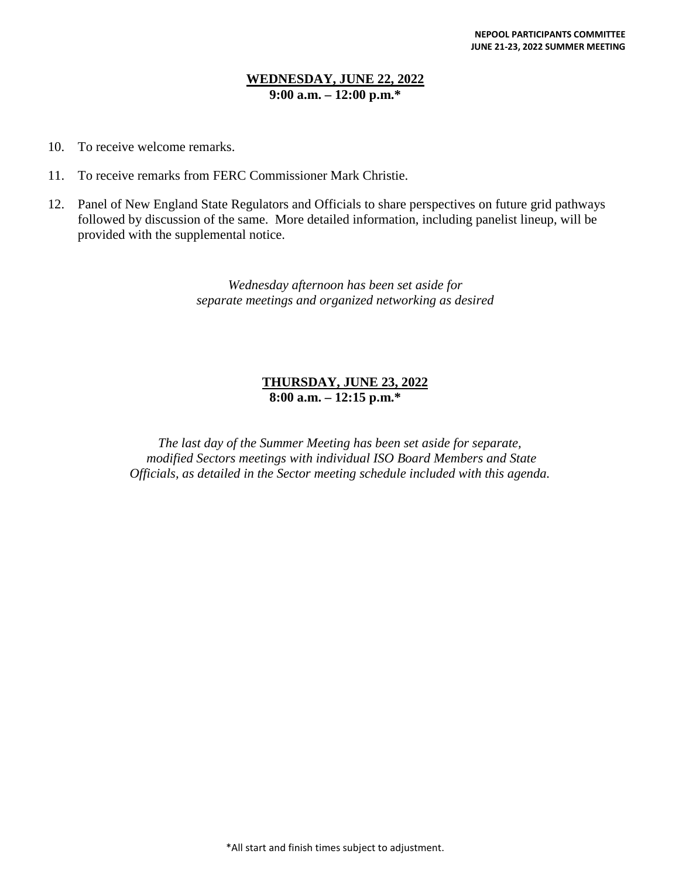## **WEDNESDAY, JUNE 22, 2022 9:00 a.m. – 12:00 p.m.\***

- 10. To receive welcome remarks.
- 11. To receive remarks from FERC Commissioner Mark Christie.
- 12. Panel of New England State Regulators and Officials to share perspectives on future grid pathways followed by discussion of the same. More detailed information, including panelist lineup, will be provided with the supplemental notice.

*Wednesday afternoon has been set aside for separate meetings and organized networking as desired* 

## **THURSDAY, JUNE 23, 2022 8:00 a.m. – 12:15 p.m.\***

*The last day of the Summer Meeting has been set aside for separate, modified Sectors meetings with individual ISO Board Members and State Officials, as detailed in the Sector meeting schedule included with this agenda.*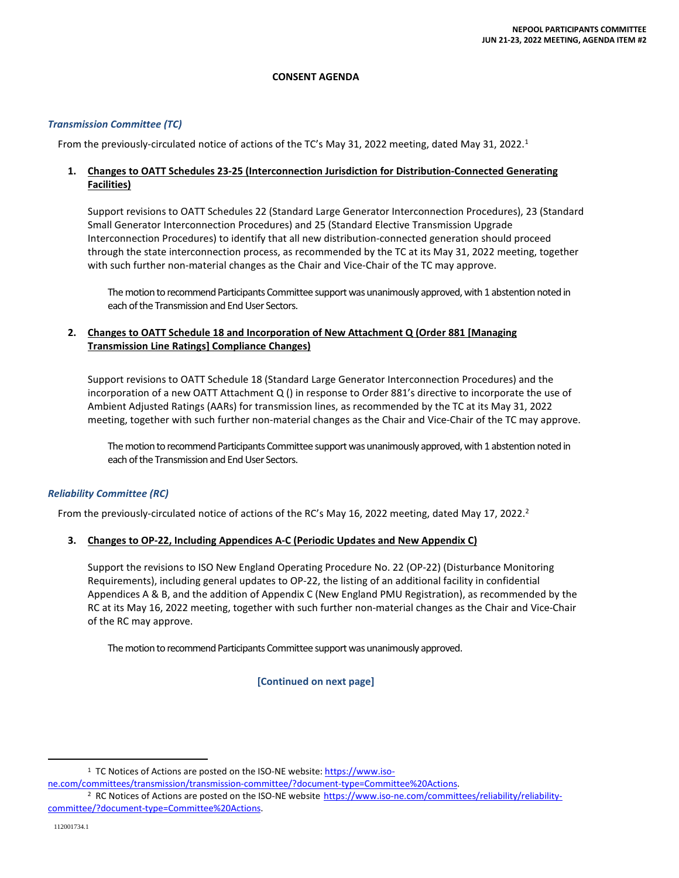#### **CONSENT AGENDA**

#### *Transmission Committee (TC)*

From the previously-circulated notice of actions of the TC's May 31, 2022 meeting, dated May 31, 2022.<sup>1</sup>

## **1. Changes to OATT Schedules 23-25 (Interconnection Jurisdiction for Distribution-Connected Generating Facilities)**

Support revisions to OATT Schedules 22 (Standard Large Generator Interconnection Procedures), 23 (Standard Small Generator Interconnection Procedures) and 25 (Standard Elective Transmission Upgrade Interconnection Procedures) to identify that all new distribution-connected generation should proceed through the state interconnection process, as recommended by the TC at its May 31, 2022 meeting, together with such further non-material changes as the Chair and Vice-Chair of the TC may approve.

The motion to recommend Participants Committee support was unanimously approved, with 1 abstention noted in each of the Transmission and End User Sectors.

## **2. Changes to OATT Schedule 18 and Incorporation of New Attachment Q (Order 881 [Managing Transmission Line Ratings] Compliance Changes)**

Support revisions to OATT Schedule 18 (Standard Large Generator Interconnection Procedures) and the incorporation of a new OATT Attachment Q () in response to Order 881's directive to incorporate the use of Ambient Adjusted Ratings (AARs) for transmission lines, as recommended by the TC at its May 31, 2022 meeting, together with such further non-material changes as the Chair and Vice-Chair of the TC may approve.

The motion to recommend Participants Committee support was unanimously approved, with 1 abstention noted in each of the Transmission and End User Sectors.

## *Reliability Committee (RC)*

From the previously-circulated notice of actions of the RC's May 16, 2022 meeting, dated May 17, 2022.<sup>2</sup>

#### **3. Changes to OP-22, Including Appendices A-C (Periodic Updates and New Appendix C)**

Support the revisions to ISO New England Operating Procedure No. 22 (OP-22) (Disturbance Monitoring Requirements), including general updates to OP-22, the listing of an additional facility in confidential Appendices A & B, and the addition of Appendix C (New England PMU Registration), as recommended by the RC at its May 16, 2022 meeting, together with such further non-material changes as the Chair and Vice-Chair of the RC may approve.

The motion to recommend Participants Committee support was unanimously approved.

**[Continued on next page]** 

<sup>&</sup>lt;sup>1</sup> TC Notices of Actions are posted on the ISO-NE website: https://www.iso-

ne.com/committees/transmission/transmission-committee/?document-type=Committee%20Actions.

<sup>&</sup>lt;sup>2</sup> RC Notices of Actions are posted on the ISO-NE website https://www.iso-ne.com/committees/reliability/reliabilitycommittee/?document-type=Committee%20Actions.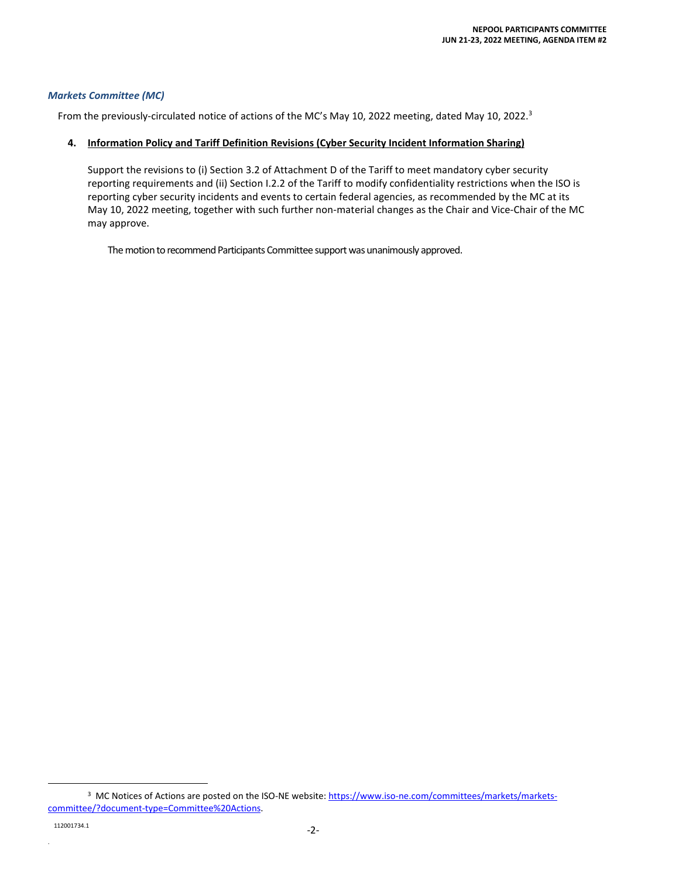#### *Markets Committee (MC)*

From the previously-circulated notice of actions of the MC's May 10, 2022 meeting, dated May 10, 2022.<sup>3</sup>

#### **4. Information Policy and Tariff Definition Revisions (Cyber Security Incident Information Sharing)**

Support the revisions to (i) Section 3.2 of Attachment D of the Tariff to meet mandatory cyber security reporting requirements and (ii) Section I.2.2 of the Tariff to modify confidentiality restrictions when the ISO is reporting cyber security incidents and events to certain federal agencies, as recommended by the MC at its May 10, 2022 meeting, together with such further non-material changes as the Chair and Vice-Chair of the MC may approve.

The motion to recommend Participants Committee support was unanimously approved.

.

<sup>&</sup>lt;sup>3</sup> MC Notices of Actions are posted on the ISO-NE website: https://www.iso-ne.com/committees/markets/marketscommittee/?document-type=Committee%20Actions.